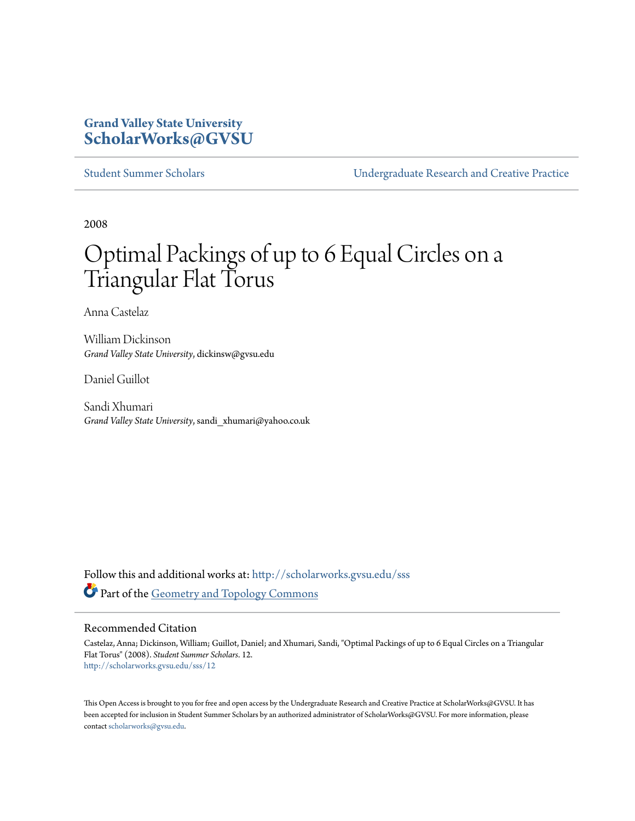## **Grand Valley State University [ScholarWorks@GVSU](http://scholarworks.gvsu.edu?utm_source=scholarworks.gvsu.edu%2Fsss%2F12&utm_medium=PDF&utm_campaign=PDFCoverPages)**

[Student Summer Scholars](http://scholarworks.gvsu.edu/sss?utm_source=scholarworks.gvsu.edu%2Fsss%2F12&utm_medium=PDF&utm_campaign=PDFCoverPages) [Undergraduate Research and Creative Practice](http://scholarworks.gvsu.edu/urcp?utm_source=scholarworks.gvsu.edu%2Fsss%2F12&utm_medium=PDF&utm_campaign=PDFCoverPages)

2008

# Optimal Packings of up to 6 Equal Circles on a Triangular Flat Torus

Anna Castelaz

William Dickinson *Grand Valley State University*, dickinsw@gvsu.edu

Daniel Guillot

Sandi Xhumari *Grand Valley State University*, sandi\_xhumari@yahoo.co.uk

Follow this and additional works at: [http://scholarworks.gvsu.edu/sss](http://scholarworks.gvsu.edu/sss?utm_source=scholarworks.gvsu.edu%2Fsss%2F12&utm_medium=PDF&utm_campaign=PDFCoverPages) Part of the [Geometry and Topology Commons](http://network.bepress.com/hgg/discipline/180?utm_source=scholarworks.gvsu.edu%2Fsss%2F12&utm_medium=PDF&utm_campaign=PDFCoverPages)

#### Recommended Citation

Castelaz, Anna; Dickinson, William; Guillot, Daniel; and Xhumari, Sandi, "Optimal Packings of up to 6 Equal Circles on a Triangular Flat Torus" (2008). *Student Summer Scholars*. 12. [http://scholarworks.gvsu.edu/sss/12](http://scholarworks.gvsu.edu/sss/12?utm_source=scholarworks.gvsu.edu%2Fsss%2F12&utm_medium=PDF&utm_campaign=PDFCoverPages)

This Open Access is brought to you for free and open access by the Undergraduate Research and Creative Practice at ScholarWorks@GVSU. It has been accepted for inclusion in Student Summer Scholars by an authorized administrator of ScholarWorks@GVSU. For more information, please contact [scholarworks@gvsu.edu.](mailto:scholarworks@gvsu.edu)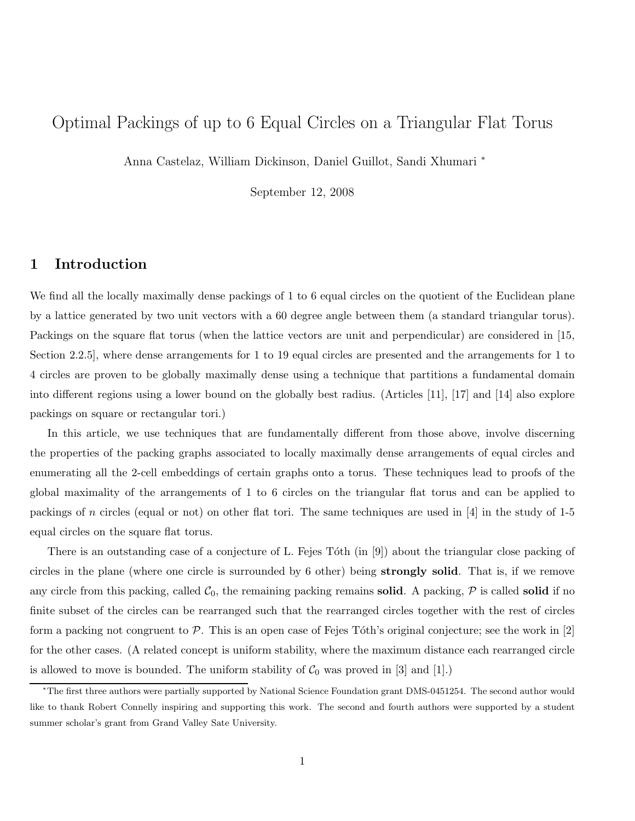# Optimal Packings of up to 6 Equal Circles on a Triangular Flat Torus

Anna Castelaz, William Dickinson, Daniel Guillot, Sandi Xhumari <sup>∗</sup>

September 12, 2008

## 1 Introduction

We find all the locally maximally dense packings of 1 to 6 equal circles on the quotient of the Euclidean plane by a lattice generated by two unit vectors with a 60 degree angle between them (a standard triangular torus). Packings on the square flat torus (when the lattice vectors are unit and perpendicular) are considered in [15, Section 2.2.5], where dense arrangements for 1 to 19 equal circles are presented and the arrangements for 1 to 4 circles are proven to be globally maximally dense using a technique that partitions a fundamental domain into different regions using a lower bound on the globally best radius. (Articles [11], [17] and [14] also explore packings on square or rectangular tori.)

In this article, we use techniques that are fundamentally different from those above, involve discerning the properties of the packing graphs associated to locally maximally dense arrangements of equal circles and enumerating all the 2-cell embeddings of certain graphs onto a torus. These techniques lead to proofs of the global maximality of the arrangements of 1 to 6 circles on the triangular flat torus and can be applied to packings of n circles (equal or not) on other flat tori. The same techniques are used in [4] in the study of 1-5 equal circles on the square flat torus.

There is an outstanding case of a conjecture of L. Fejes Tóth (in [9]) about the triangular close packing of circles in the plane (where one circle is surrounded by 6 other) being strongly solid. That is, if we remove any circle from this packing, called  $C_0$ , the remaining packing remains **solid**. A packing,  $P$  is called **solid** if no finite subset of the circles can be rearranged such that the rearranged circles together with the rest of circles form a packing not congruent to  $\mathcal P$ . This is an open case of Fejes Tóth's original conjecture; see the work in [2] for the other cases. (A related concept is uniform stability, where the maximum distance each rearranged circle is allowed to move is bounded. The uniform stability of  $C_0$  was proved in [3] and [1].)

<sup>∗</sup>The first three authors were partially supported by National Science Foundation grant DMS-0451254. The second author would like to thank Robert Connelly inspiring and supporting this work. The second and fourth authors were supported by a student summer scholar's grant from Grand Valley Sate University.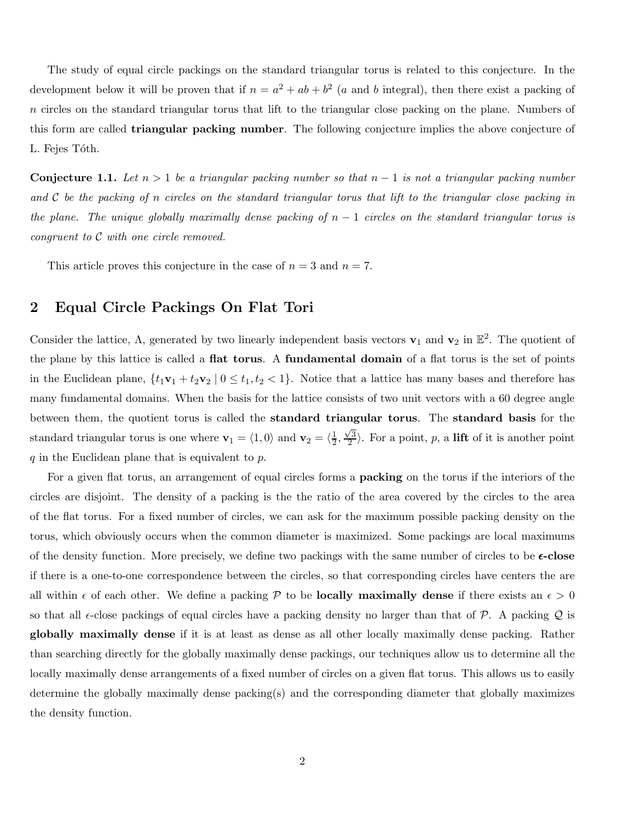The study of equal circle packings on the standard triangular torus is related to this conjecture. In the development below it will be proven that if  $n = a^2 + ab + b^2$  (a and b integral), then there exist a packing of n circles on the standard triangular torus that lift to the triangular close packing on the plane. Numbers of this form are called **triangular packing number**. The following conjecture implies the above conjecture of L. Fejes Tóth.

**Conjecture 1.1.** Let  $n > 1$  be a triangular packing number so that  $n - 1$  is not a triangular packing number and C be the packing of n circles on the standard triangular torus that lift to the triangular close packing in the plane. The unique globally maximally dense packing of  $n-1$  circles on the standard triangular torus is congruent to  $\mathcal C$  with one circle removed.

This article proves this conjecture in the case of  $n = 3$  and  $n = 7$ .

## 2 Equal Circle Packings On Flat Tori

Consider the lattice,  $\Lambda$ , generated by two linearly independent basis vectors  $\mathbf{v}_1$  and  $\mathbf{v}_2$  in  $\mathbb{E}^2$ . The quotient of the plane by this lattice is called a flat torus. A fundamental domain of a flat torus is the set of points in the Euclidean plane,  $\{t_1\mathbf{v}_1 + t_2\mathbf{v}_2 \mid 0 \le t_1, t_2 < 1\}$ . Notice that a lattice has many bases and therefore has many fundamental domains. When the basis for the lattice consists of two unit vectors with a 60 degree angle between them, the quotient torus is called the standard triangular torus. The standard basis for the standard triangular torus is one where  $\mathbf{v}_1 = \langle 1, 0 \rangle$  and  $\mathbf{v}_2 = \langle \frac{1}{2} \rangle$  $\frac{1}{2}, \frac{\sqrt{3}}{2}$  $\langle \frac{2}{2} \rangle$ . For a point, p, a **lift** of it is another point  $q$  in the Euclidean plane that is equivalent to  $p$ .

For a given flat torus, an arrangement of equal circles forms a packing on the torus if the interiors of the circles are disjoint. The density of a packing is the the ratio of the area covered by the circles to the area of the flat torus. For a fixed number of circles, we can ask for the maximum possible packing density on the torus, which obviously occurs when the common diameter is maximized. Some packings are local maximums of the density function. More precisely, we define two packings with the same number of circles to be  $\epsilon$ -close if there is a one-to-one correspondence between the circles, so that corresponding circles have centers the are all within  $\epsilon$  of each other. We define a packing P to be **locally maximally dense** if there exists an  $\epsilon > 0$ so that all  $\epsilon$ -close packings of equal circles have a packing density no larger than that of  $\mathcal{P}$ . A packing  $\mathcal Q$  is globally maximally dense if it is at least as dense as all other locally maximally dense packing. Rather than searching directly for the globally maximally dense packings, our techniques allow us to determine all the locally maximally dense arrangements of a fixed number of circles on a given flat torus. This allows us to easily determine the globally maximally dense packing(s) and the corresponding diameter that globally maximizes the density function.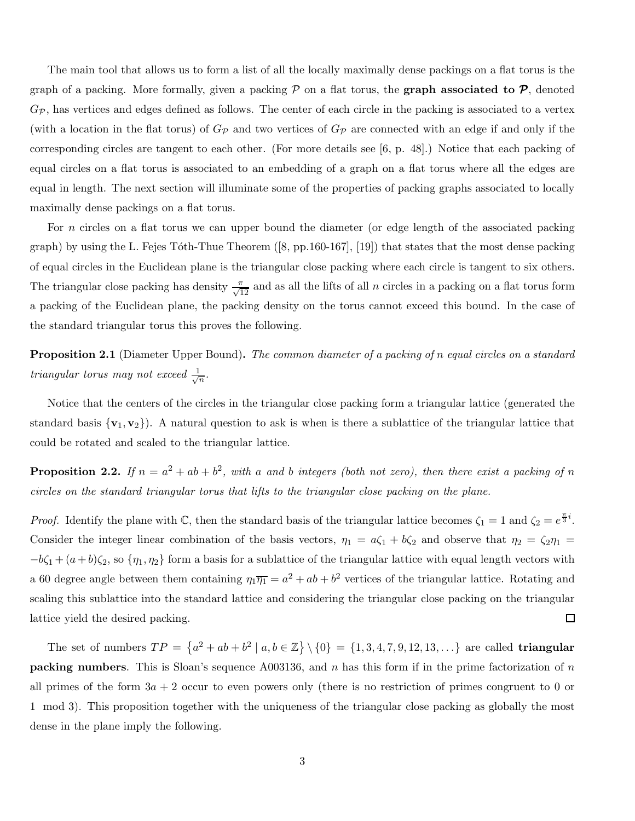The main tool that allows us to form a list of all the locally maximally dense packings on a flat torus is the graph of a packing. More formally, given a packing  $P$  on a flat torus, the **graph associated to**  $P$ , denoted  $G_{\mathcal{P}}$ , has vertices and edges defined as follows. The center of each circle in the packing is associated to a vertex (with a location in the flat torus) of  $G_p$  and two vertices of  $G_p$  are connected with an edge if and only if the corresponding circles are tangent to each other. (For more details see [6, p. 48].) Notice that each packing of equal circles on a flat torus is associated to an embedding of a graph on a flat torus where all the edges are equal in length. The next section will illuminate some of the properties of packing graphs associated to locally maximally dense packings on a flat torus.

For *n* circles on a flat torus we can upper bound the diameter (or edge length of the associated packing graph) by using the L. Fejes Tóth-Thue Theorem  $([8, pp.160-167], [19])$  that states that the most dense packing of equal circles in the Euclidean plane is the triangular close packing where each circle is tangent to six others. The triangular close packing has density  $\frac{\pi}{\sqrt{12}}$  and as all the lifts of all n circles in a packing on a flat torus form a packing of the Euclidean plane, the packing density on the torus cannot exceed this bound. In the case of the standard triangular torus this proves the following.

**Proposition 2.1** (Diameter Upper Bound). The common diameter of a packing of n equal circles on a standard triangular torus may not exceed  $\frac{1}{\sqrt{2}}$  $\frac{1}{n}$ .

Notice that the centers of the circles in the triangular close packing form a triangular lattice (generated the standard basis  $\{v_1, v_2\}$ . A natural question to ask is when is there a sublattice of the triangular lattice that could be rotated and scaled to the triangular lattice.

**Proposition 2.2.** If  $n = a^2 + ab + b^2$ , with a and b integers (both not zero), then there exist a packing of n circles on the standard triangular torus that lifts to the triangular close packing on the plane.

*Proof.* Identify the plane with C, then the standard basis of the triangular lattice becomes  $\zeta_1 = 1$  and  $\zeta_2 = e^{\frac{\pi}{3}i}$ . Consider the integer linear combination of the basis vectors,  $\eta_1 = a\zeta_1 + b\zeta_2$  and observe that  $\eta_2 = \zeta_2\eta_1 =$  $-b\zeta_1 + (a+b)\zeta_2$ , so  $\{\eta_1, \eta_2\}$  form a basis for a sublattice of the triangular lattice with equal length vectors with a 60 degree angle between them containing  $\eta_1 \overline{\eta_1} = a^2 + ab + b^2$  vertices of the triangular lattice. Rotating and scaling this sublattice into the standard lattice and considering the triangular close packing on the triangular lattice yield the desired packing.  $\Box$ 

The set of numbers  $TP = \{a^2 + ab + b^2 \mid a, b \in \mathbb{Z}\}\setminus\{0\} = \{1, 3, 4, 7, 9, 12, 13, ...\}$  are called **triangular packing numbers**. This is Sloan's sequence A003136, and n has this form if in the prime factorization of n all primes of the form  $3a + 2$  occur to even powers only (there is no restriction of primes congruent to 0 or 1 mod 3). This proposition together with the uniqueness of the triangular close packing as globally the most dense in the plane imply the following.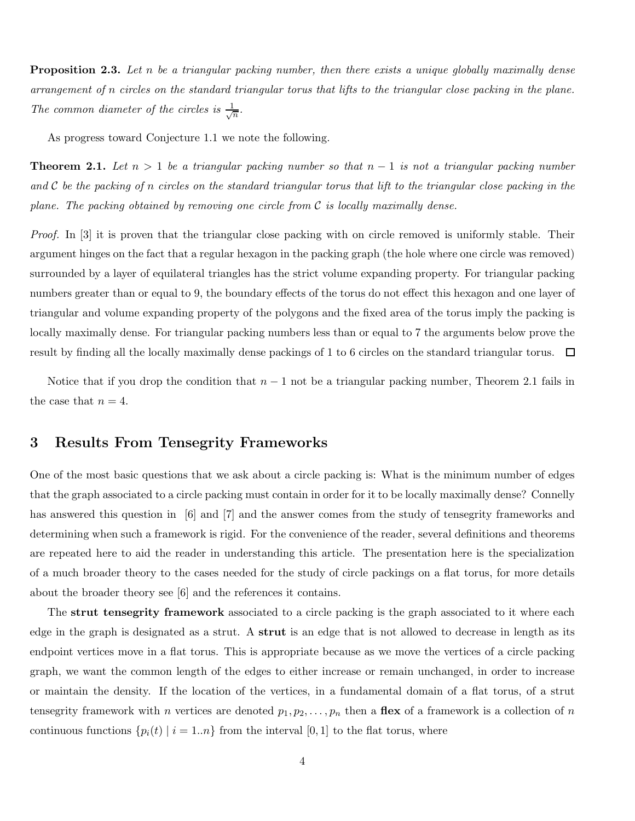**Proposition 2.3.** Let n be a triangular packing number, then there exists a unique globally maximally dense arrangement of n circles on the standard triangular torus that lifts to the triangular close packing in the plane. The common diameter of the circles is  $\frac{1}{\sqrt{2}}$  $\frac{1}{n}$ .

As progress toward Conjecture 1.1 we note the following.

**Theorem 2.1.** Let  $n > 1$  be a triangular packing number so that  $n - 1$  is not a triangular packing number and C be the packing of n circles on the standard triangular torus that lift to the triangular close packing in the plane. The packing obtained by removing one circle from  $C$  is locally maximally dense.

Proof. In [3] it is proven that the triangular close packing with on circle removed is uniformly stable. Their argument hinges on the fact that a regular hexagon in the packing graph (the hole where one circle was removed) surrounded by a layer of equilateral triangles has the strict volume expanding property. For triangular packing numbers greater than or equal to 9, the boundary effects of the torus do not effect this hexagon and one layer of triangular and volume expanding property of the polygons and the fixed area of the torus imply the packing is locally maximally dense. For triangular packing numbers less than or equal to 7 the arguments below prove the result by finding all the locally maximally dense packings of 1 to 6 circles on the standard triangular torus.  $\Box$ 

Notice that if you drop the condition that  $n-1$  not be a triangular packing number, Theorem 2.1 fails in the case that  $n = 4$ .

## 3 Results From Tensegrity Frameworks

One of the most basic questions that we ask about a circle packing is: What is the minimum number of edges that the graph associated to a circle packing must contain in order for it to be locally maximally dense? Connelly has answered this question in [6] and [7] and the answer comes from the study of tensegrity frameworks and determining when such a framework is rigid. For the convenience of the reader, several definitions and theorems are repeated here to aid the reader in understanding this article. The presentation here is the specialization of a much broader theory to the cases needed for the study of circle packings on a flat torus, for more details about the broader theory see [6] and the references it contains.

The strut tensegrity framework associated to a circle packing is the graph associated to it where each edge in the graph is designated as a strut. A strut is an edge that is not allowed to decrease in length as its endpoint vertices move in a flat torus. This is appropriate because as we move the vertices of a circle packing graph, we want the common length of the edges to either increase or remain unchanged, in order to increase or maintain the density. If the location of the vertices, in a fundamental domain of a flat torus, of a strut tensegrity framework with *n* vertices are denoted  $p_1, p_2, \ldots, p_n$  then a **flex** of a framework is a collection of *n* continuous functions  $\{p_i(t) | i = 1..n\}$  from the interval [0, 1] to the flat torus, where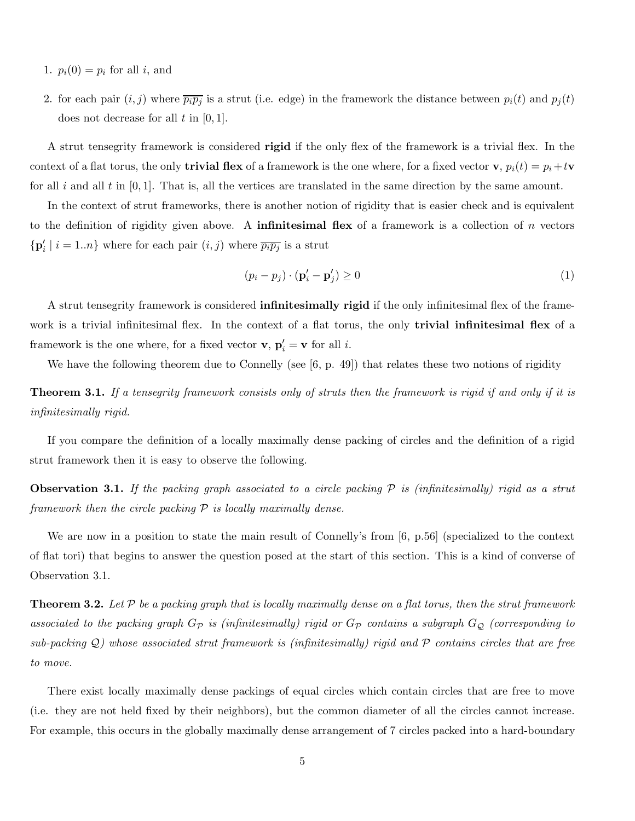- 1.  $p_i(0) = p_i$  for all i, and
- 2. for each pair  $(i, j)$  where  $\overline{p_i p_j}$  is a strut (i.e. edge) in the framework the distance between  $p_i(t)$  and  $p_j(t)$ does not decrease for all  $t$  in  $[0, 1]$ .

A strut tensegrity framework is considered rigid if the only flex of the framework is a trivial flex. In the context of a flat torus, the only **trivial flex** of a framework is the one where, for a fixed vector **v**,  $p_i(t) = p_i + t$ **v** for all i and all t in  $[0, 1]$ . That is, all the vertices are translated in the same direction by the same amount.

In the context of strut frameworks, there is another notion of rigidity that is easier check and is equivalent to the definition of rigidity given above. A **infinitesimal flex** of a framework is a collection of n vectors  $\{ \mathbf{p}'_i \mid i = 1..n \}$  where for each pair  $(i, j)$  where  $\overline{p_i p_j}$  is a strut

$$
(p_i - p_j) \cdot (\mathbf{p}'_i - \mathbf{p}'_j) \ge 0 \tag{1}
$$

A strut tensegrity framework is considered infinitesimally rigid if the only infinitesimal flex of the framework is a trivial infinitesimal flex. In the context of a flat torus, the only **trivial infinitesimal flex** of a framework is the one where, for a fixed vector **v**,  $\mathbf{p}'_i = \mathbf{v}$  for all *i*.

We have the following theorem due to Connelly (see [6, p. 49]) that relates these two notions of rigidity

**Theorem 3.1.** If a tensegrity framework consists only of struts then the framework is rigid if and only if it is infinitesimally rigid.

If you compare the definition of a locally maximally dense packing of circles and the definition of a rigid strut framework then it is easy to observe the following.

**Observation 3.1.** If the packing graph associated to a circle packing  $P$  is (infinitesimally) rigid as a strut framework then the circle packing  $P$  is locally maximally dense.

We are now in a position to state the main result of Connelly's from [6, p.56] (specialized to the context of flat tori) that begins to answer the question posed at the start of this section. This is a kind of converse of Observation 3.1.

**Theorem 3.2.** Let  $P$  be a packing graph that is locally maximally dense on a flat torus, then the strut framework associated to the packing graph  $G_P$  is (infinitesimally) rigid or  $G_P$  contains a subgraph  $G_Q$  (corresponding to sub-packing Q) whose associated strut framework is (infinitesimally) rigid and P contains circles that are free to move.

There exist locally maximally dense packings of equal circles which contain circles that are free to move (i.e. they are not held fixed by their neighbors), but the common diameter of all the circles cannot increase. For example, this occurs in the globally maximally dense arrangement of 7 circles packed into a hard-boundary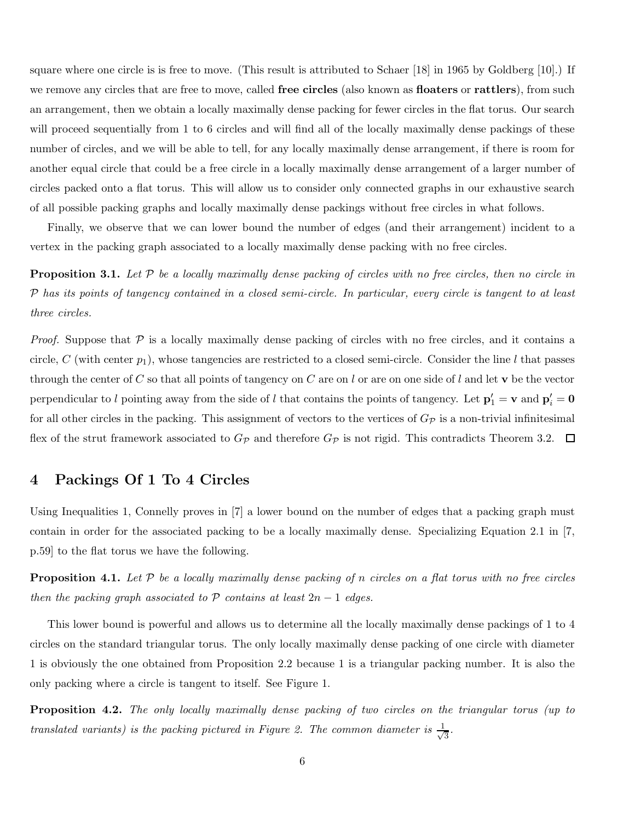square where one circle is is free to move. (This result is attributed to Schaer [18] in 1965 by Goldberg [10].) If we remove any circles that are free to move, called **free circles** (also known as **floaters** or **rattlers**), from such an arrangement, then we obtain a locally maximally dense packing for fewer circles in the flat torus. Our search will proceed sequentially from 1 to 6 circles and will find all of the locally maximally dense packings of these number of circles, and we will be able to tell, for any locally maximally dense arrangement, if there is room for another equal circle that could be a free circle in a locally maximally dense arrangement of a larger number of circles packed onto a flat torus. This will allow us to consider only connected graphs in our exhaustive search of all possible packing graphs and locally maximally dense packings without free circles in what follows.

Finally, we observe that we can lower bound the number of edges (and their arrangement) incident to a vertex in the packing graph associated to a locally maximally dense packing with no free circles.

**Proposition 3.1.** Let  $P$  be a locally maximally dense packing of circles with no free circles, then no circle in P has its points of tangency contained in a closed semi-circle. In particular, every circle is tangent to at least three circles.

*Proof.* Suppose that  $P$  is a locally maximally dense packing of circles with no free circles, and it contains a circle, C (with center  $p_1$ ), whose tangencies are restricted to a closed semi-circle. Consider the line l that passes through the center of C so that all points of tangency on C are on l or are on one side of l and let  $v$  be the vector perpendicular to l pointing away from the side of l that contains the points of tangency. Let  $p'_1 = v$  and  $p'_i = 0$ for all other circles in the packing. This assignment of vectors to the vertices of  $G_p$  is a non-trivial infinitesimal flex of the strut framework associated to  $G_{\mathcal{P}}$  and therefore  $G_{\mathcal{P}}$  is not rigid. This contradicts Theorem 3.2.  $\Box$ 

### 4 Packings Of 1 To 4 Circles

Using Inequalities 1, Connelly proves in [7] a lower bound on the number of edges that a packing graph must contain in order for the associated packing to be a locally maximally dense. Specializing Equation 2.1 in [7, p.59] to the flat torus we have the following.

**Proposition 4.1.** Let  $P$  be a locally maximally dense packing of n circles on a flat torus with no free circles then the packing graph associated to  $P$  contains at least  $2n - 1$  edges.

This lower bound is powerful and allows us to determine all the locally maximally dense packings of 1 to 4 circles on the standard triangular torus. The only locally maximally dense packing of one circle with diameter 1 is obviously the one obtained from Proposition 2.2 because 1 is a triangular packing number. It is also the only packing where a circle is tangent to itself. See Figure 1.

**Proposition 4.2.** The only locally maximally dense packing of two circles on the triangular torus (up to translated variants) is the packing pictured in Figure 2. The common diameter is  $\frac{1}{\sqrt{2}}$  $\overline{3}$ .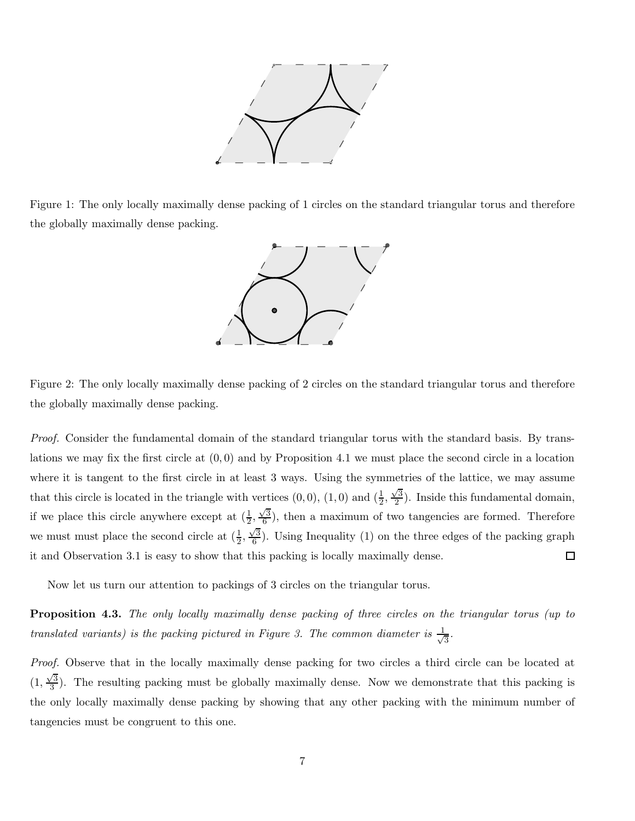

Figure 1: The only locally maximally dense packing of 1 circles on the standard triangular torus and therefore the globally maximally dense packing.



Figure 2: The only locally maximally dense packing of 2 circles on the standard triangular torus and therefore the globally maximally dense packing.

Proof. Consider the fundamental domain of the standard triangular torus with the standard basis. By translations we may fix the first circle at  $(0,0)$  and by Proposition 4.1 we must place the second circle in a location where it is tangent to the first circle in at least 3 ways. Using the symmetries of the lattice, we may assume that this circle is located in the triangle with vertices  $(0,0)$ ,  $(1,0)$  and  $(\frac{1}{2},\frac{\sqrt{3}}{2})$  $\frac{\sqrt{3}}{2}$ ). Inside this fundamental domain, if we place this circle anywhere except at  $(\frac{1}{2}, \frac{\sqrt{3}}{6})$  $\frac{\sqrt{3}}{6}$ , then a maximum of two tangencies are formed. Therefore we must must place the second circle at  $(\frac{1}{2}, \frac{\sqrt{3}}{6})$  $\frac{\sqrt{3}}{6}$ . Using Inequality (1) on the three edges of the packing graph it and Observation 3.1 is easy to show that this packing is locally maximally dense.  $\Box$ 

Now let us turn our attention to packings of 3 circles on the triangular torus.

**Proposition 4.3.** The only locally maximally dense packing of three circles on the triangular torus (up to translated variants) is the packing pictured in Figure 3. The common diameter is  $\frac{1}{\sqrt{2}}$  $\frac{1}{3}$ .

Proof. Observe that in the locally maximally dense packing for two circles a third circle can be located at  $(1, \frac{\sqrt{3}}{3})$  $\frac{\sqrt{3}}{3}$ ). The resulting packing must be globally maximally dense. Now we demonstrate that this packing is the only locally maximally dense packing by showing that any other packing with the minimum number of tangencies must be congruent to this one.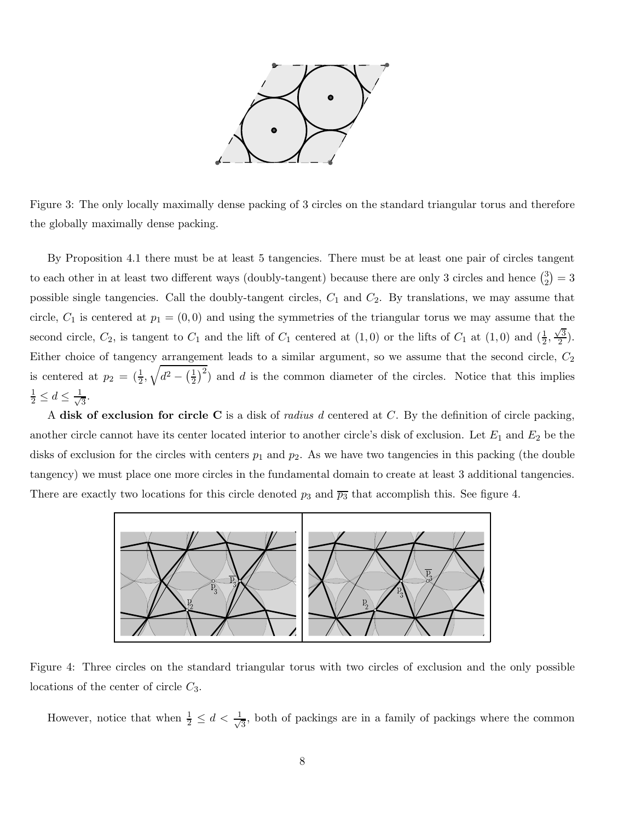

Figure 3: The only locally maximally dense packing of 3 circles on the standard triangular torus and therefore the globally maximally dense packing.

By Proposition 4.1 there must be at least 5 tangencies. There must be at least one pair of circles tangent to each other in at least two different ways (doubly-tangent) because there are only 3 circles and hence  $\binom{3}{2}$  $_{2}^{3})=3$ possible single tangencies. Call the doubly-tangent circles,  $C_1$  and  $C_2$ . By translations, we may assume that circle,  $C_1$  is centered at  $p_1 = (0,0)$  and using the symmetries of the triangular torus we may assume that the second circle,  $C_2$ , is tangent to  $C_1$  and the lift of  $C_1$  centered at  $(1,0)$  or the lifts of  $C_1$  at  $(1,0)$  and  $(\frac{1}{2},\frac{\sqrt{3}}{2})$  $\frac{3}{2}$ . Either choice of tangency arrangement leads to a similar argument, so we assume that the second circle,  $C_2$ is centered at  $p_2 = (\frac{1}{2}, \sqrt{d^2 - (\frac{1}{2})^2})$  $(\frac{1}{2})^2$  and d is the common diameter of the circles. Notice that this implies  $\frac{1}{2} \leq d \leq \frac{1}{\sqrt{2}}$  $\frac{1}{3}$ .

A disk of exclusion for circle C is a disk of *radius d* centered at C. By the definition of circle packing, another circle cannot have its center located interior to another circle's disk of exclusion. Let  $E_1$  and  $E_2$  be the disks of exclusion for the circles with centers  $p_1$  and  $p_2$ . As we have two tangencies in this packing (the double tangency) we must place one more circles in the fundamental domain to create at least 3 additional tangencies. There are exactly two locations for this circle denoted  $p_3$  and  $\overline{p_3}$  that accomplish this. See figure 4.



Figure 4: Three circles on the standard triangular torus with two circles of exclusion and the only possible locations of the center of circle  $C_3$ .

However, notice that when  $\frac{1}{2} \leq d < \frac{1}{\sqrt{2}}$  $\frac{1}{3}$ , both of packings are in a family of packings where the common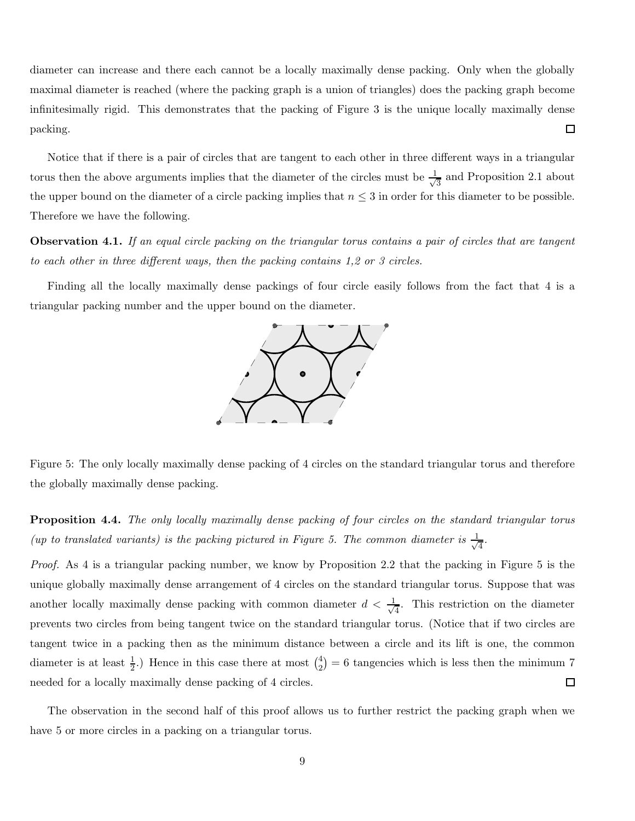diameter can increase and there each cannot be a locally maximally dense packing. Only when the globally maximal diameter is reached (where the packing graph is a union of triangles) does the packing graph become infinitesimally rigid. This demonstrates that the packing of Figure 3 is the unique locally maximally dense  $\Box$ packing.

Notice that if there is a pair of circles that are tangent to each other in three different ways in a triangular torus then the above arguments implies that the diameter of the circles must be  $\frac{1}{\sqrt{2}}$  $\frac{1}{3}$  and Proposition 2.1 about the upper bound on the diameter of a circle packing implies that  $n \leq 3$  in order for this diameter to be possible. Therefore we have the following.

Observation 4.1. If an equal circle packing on the triangular torus contains a pair of circles that are tangent to each other in three different ways, then the packing contains 1,2 or 3 circles.

Finding all the locally maximally dense packings of four circle easily follows from the fact that 4 is a triangular packing number and the upper bound on the diameter.



Figure 5: The only locally maximally dense packing of 4 circles on the standard triangular torus and therefore the globally maximally dense packing.

**Proposition 4.4.** The only locally maximally dense packing of four circles on the standard triangular torus (up to translated variants) is the packing pictured in Figure 5. The common diameter is  $\frac{1}{\sqrt{2}}$  $\frac{1}{4}$ .

Proof. As 4 is a triangular packing number, we know by Proposition 2.2 that the packing in Figure 5 is the unique globally maximally dense arrangement of 4 circles on the standard triangular torus. Suppose that was another locally maximally dense packing with common diameter  $d < \frac{1}{\sqrt{2}}$  $\frac{1}{4}$ . This restriction on the diameter prevents two circles from being tangent twice on the standard triangular torus. (Notice that if two circles are tangent twice in a packing then as the minimum distance between a circle and its lift is one, the common diameter is at least  $\frac{1}{2}$ .) Hence in this case there at most  $\binom{4}{2}$  $\binom{4}{2}$  = 6 tangencies which is less then the minimum 7 needed for a locally maximally dense packing of 4 circles.  $\Box$ 

The observation in the second half of this proof allows us to further restrict the packing graph when we have 5 or more circles in a packing on a triangular torus.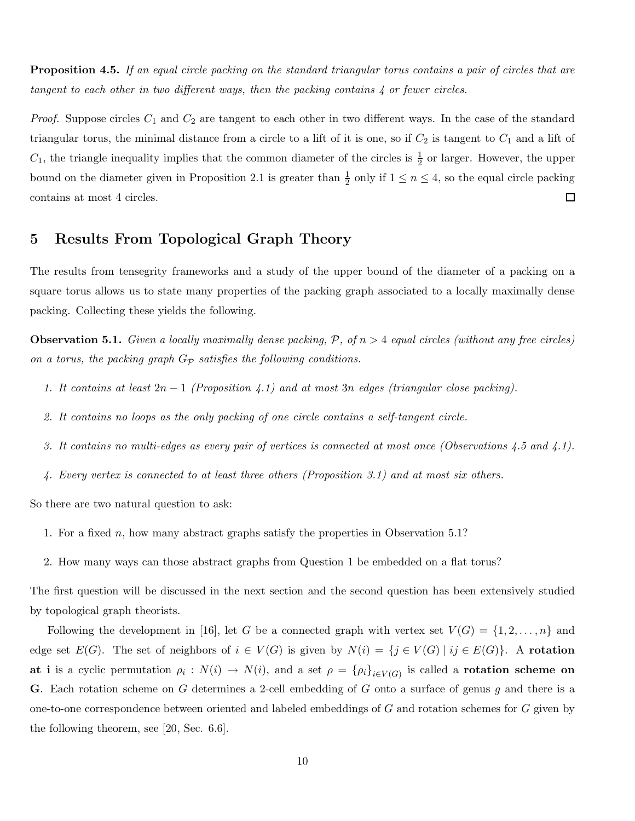**Proposition 4.5.** If an equal circle packing on the standard triangular torus contains a pair of circles that are tangent to each other in two different ways, then the packing contains 4 or fewer circles.

*Proof.* Suppose circles  $C_1$  and  $C_2$  are tangent to each other in two different ways. In the case of the standard triangular torus, the minimal distance from a circle to a lift of it is one, so if  $C_2$  is tangent to  $C_1$  and a lift of  $C_1$ , the triangle inequality implies that the common diameter of the circles is  $\frac{1}{2}$  or larger. However, the upper bound on the diameter given in Proposition 2.1 is greater than  $\frac{1}{2}$  $\frac{1}{2}$  only if  $1 \leq n \leq 4$ , so the equal circle packing contains at most 4 circles.  $\Box$ 

## 5 Results From Topological Graph Theory

The results from tensegrity frameworks and a study of the upper bound of the diameter of a packing on a square torus allows us to state many properties of the packing graph associated to a locally maximally dense packing. Collecting these yields the following.

**Observation 5.1.** Given a locally maximally dense packing,  $P$ , of  $n > 4$  equal circles (without any free circles) on a torus, the packing graph  $G_{\mathcal{P}}$  satisfies the following conditions.

- 1. It contains at least  $2n-1$  (Proposition 4.1) and at most 3n edges (triangular close packing).
- 2. It contains no loops as the only packing of one circle contains a self-tangent circle.
- 3. It contains no multi-edges as every pair of vertices is connected at most once (Observations 4.5 and 4.1).
- 4. Every vertex is connected to at least three others (Proposition 3.1) and at most six others.

So there are two natural question to ask:

- 1. For a fixed n, how many abstract graphs satisfy the properties in Observation 5.1?
- 2. How many ways can those abstract graphs from Question 1 be embedded on a flat torus?

The first question will be discussed in the next section and the second question has been extensively studied by topological graph theorists.

Following the development in [16], let G be a connected graph with vertex set  $V(G) = \{1, 2, ..., n\}$  and edge set  $E(G)$ . The set of neighbors of  $i \in V(G)$  is given by  $N(i) = \{j \in V(G) \mid ij \in E(G)\}\$ . A rotation at i is a cyclic permutation  $\rho_i: N(i) \to N(i)$ , and a set  $\rho = {\rho_i}_{i \in V(G)}$  is called a rotation scheme on **G**. Each rotation scheme on  $G$  determines a 2-cell embedding of  $G$  onto a surface of genus  $g$  and there is a one-to-one correspondence between oriented and labeled embeddings of  $G$  and rotation schemes for  $G$  given by the following theorem, see [20, Sec. 6.6].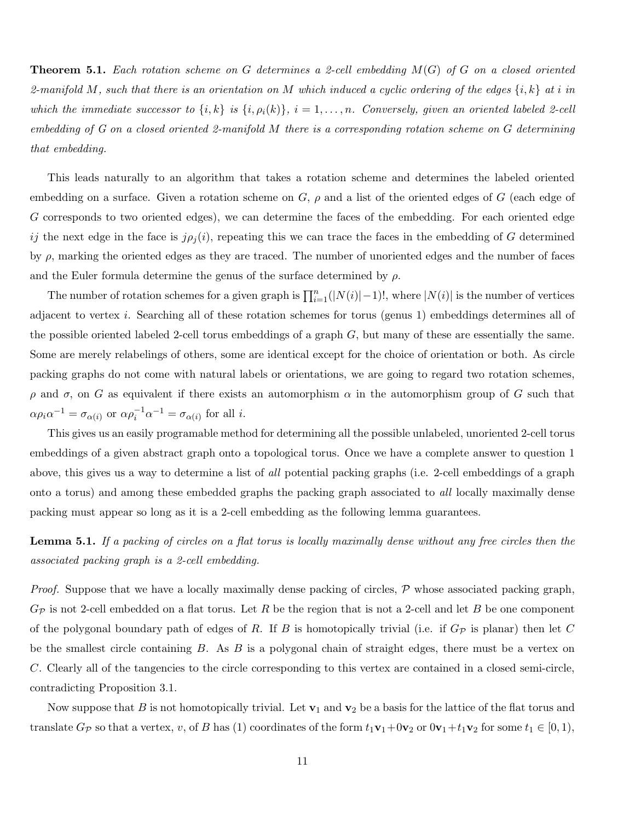**Theorem 5.1.** Each rotation scheme on G determines a 2-cell embedding  $M(G)$  of G on a closed oriented 2-manifold M, such that there is an orientation on M which induced a cyclic ordering of the edges  $\{i, k\}$  at i in which the immediate successor to  $\{i,k\}$  is  $\{i,\rho_i(k)\}, i=1,\ldots,n$ . Conversely, given an oriented labeled 2-cell embedding of G on a closed oriented 2-manifold M there is a corresponding rotation scheme on G determining that embedding.

This leads naturally to an algorithm that takes a rotation scheme and determines the labeled oriented embedding on a surface. Given a rotation scheme on  $G$ ,  $\rho$  and a list of the oriented edges of G (each edge of G corresponds to two oriented edges), we can determine the faces of the embedding. For each oriented edge ij the next edge in the face is  $j\rho_j(i)$ , repeating this we can trace the faces in the embedding of G determined by  $\rho$ , marking the oriented edges as they are traced. The number of unoriented edges and the number of faces and the Euler formula determine the genus of the surface determined by  $\rho$ .

The number of rotation schemes for a given graph is  $\prod_{i=1}^{n}(|N(i)|-1)!$ , where  $|N(i)|$  is the number of vertices adjacent to vertex i. Searching all of these rotation schemes for torus (genus 1) embeddings determines all of the possible oriented labeled 2-cell torus embeddings of a graph G, but many of these are essentially the same. Some are merely relabelings of others, some are identical except for the choice of orientation or both. As circle packing graphs do not come with natural labels or orientations, we are going to regard two rotation schemes,  $ρ$  and  $σ$ , on G as equivalent if there exists an automorphism  $α$  in the automorphism group of G such that  $\alpha \rho_i \alpha^{-1} = \sigma_{\alpha(i)}$  or  $\alpha \rho_i^{-1} \alpha^{-1} = \sigma_{\alpha(i)}$  for all *i*.

This gives us an easily programable method for determining all the possible unlabeled, unoriented 2-cell torus embeddings of a given abstract graph onto a topological torus. Once we have a complete answer to question 1 above, this gives us a way to determine a list of *all* potential packing graphs (i.e. 2-cell embeddings of a graph onto a torus) and among these embedded graphs the packing graph associated to all locally maximally dense packing must appear so long as it is a 2-cell embedding as the following lemma guarantees.

Lemma 5.1. If a packing of circles on a flat torus is locally maximally dense without any free circles then the associated packing graph is a 2-cell embedding.

*Proof.* Suppose that we have a locally maximally dense packing of circles,  $P$  whose associated packing graph,  $G_{\mathcal{P}}$  is not 2-cell embedded on a flat torus. Let R be the region that is not a 2-cell and let B be one component of the polygonal boundary path of edges of R. If B is homotopically trivial (i.e. if  $G_{\mathcal{P}}$  is planar) then let C be the smallest circle containing  $B$ . As  $B$  is a polygonal chain of straight edges, there must be a vertex on C. Clearly all of the tangencies to the circle corresponding to this vertex are contained in a closed semi-circle, contradicting Proposition 3.1.

Now suppose that B is not homotopically trivial. Let  $v_1$  and  $v_2$  be a basis for the lattice of the flat torus and translate  $G_{\mathcal{P}}$  so that a vertex, v, of B has (1) coordinates of the form  $t_1\mathbf{v}_1+0\mathbf{v}_2$  or  $0\mathbf{v}_1+t_1\mathbf{v}_2$  for some  $t_1 \in [0,1)$ ,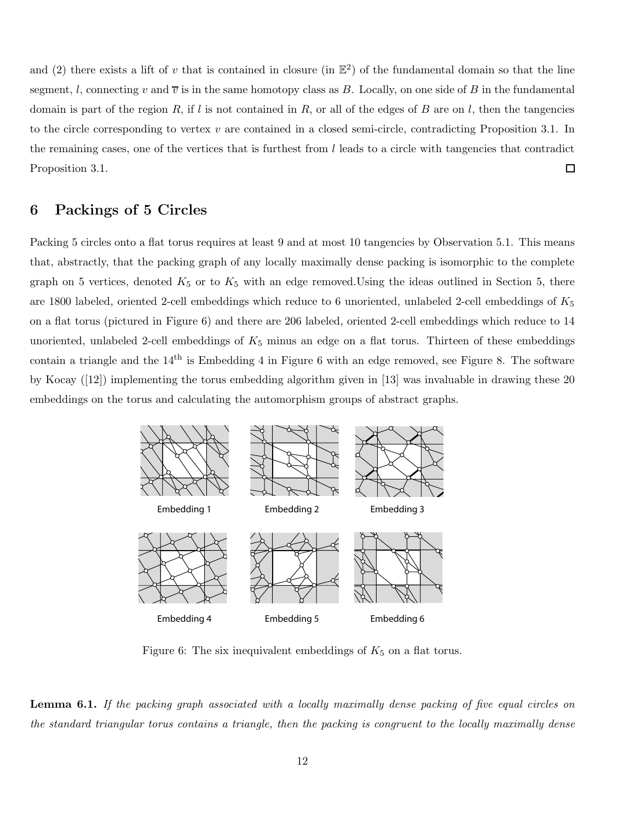and (2) there exists a lift of v that is contained in closure (in  $\mathbb{E}^2$ ) of the fundamental domain so that the line segment, l, connecting v and  $\overline{v}$  is in the same homotopy class as B. Locally, on one side of B in the fundamental domain is part of the region R, if l is not contained in R, or all of the edges of B are on l, then the tangencies to the circle corresponding to vertex  $v$  are contained in a closed semi-circle, contradicting Proposition 3.1. In the remaining cases, one of the vertices that is furthest from l leads to a circle with tangencies that contradict  $\Box$ Proposition 3.1.

## 6 Packings of 5 Circles

Packing 5 circles onto a flat torus requires at least 9 and at most 10 tangencies by Observation 5.1. This means that, abstractly, that the packing graph of any locally maximally dense packing is isomorphic to the complete graph on 5 vertices, denoted  $K_5$  or to  $K_5$  with an edge removed. Using the ideas outlined in Section 5, there are 1800 labeled, oriented 2-cell embeddings which reduce to 6 unoriented, unlabeled 2-cell embeddings of  $K_5$ on a flat torus (pictured in Figure 6) and there are 206 labeled, oriented 2-cell embeddings which reduce to 14 unoriented, unlabeled 2-cell embeddings of  $K_5$  minus an edge on a flat torus. Thirteen of these embeddings contain a triangle and the  $14<sup>th</sup>$  is Embedding 4 in Figure 6 with an edge removed, see Figure 8. The software by Kocay ([12]) implementing the torus embedding algorithm given in [13] was invaluable in drawing these 20 embeddings on the torus and calculating the automorphism groups of abstract graphs.



Figure 6: The six inequivalent embeddings of  $K_5$  on a flat torus.

**Lemma 6.1.** If the packing graph associated with a locally maximally dense packing of five equal circles on the standard triangular torus contains a triangle, then the packing is congruent to the locally maximally dense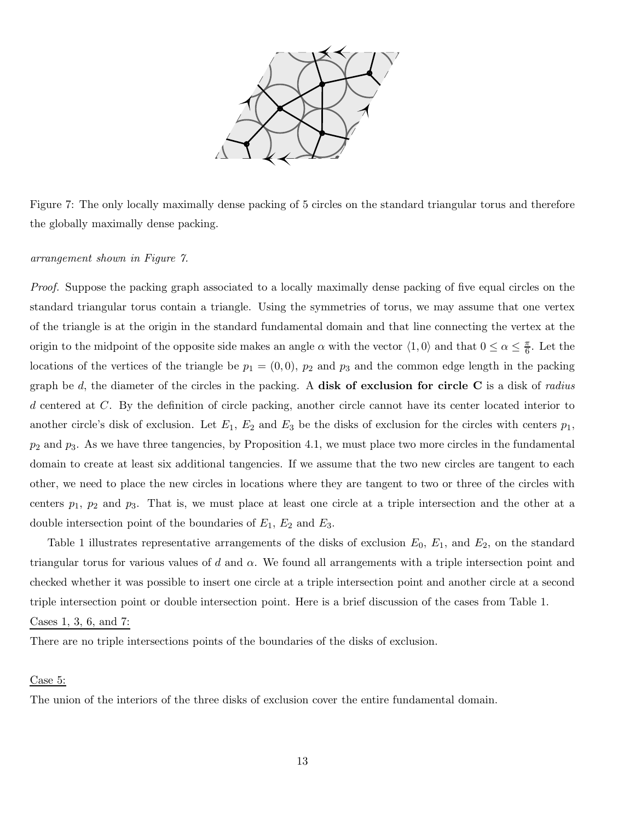

Figure 7: The only locally maximally dense packing of 5 circles on the standard triangular torus and therefore the globally maximally dense packing.

#### arrangement shown in Figure 7.

Proof. Suppose the packing graph associated to a locally maximally dense packing of five equal circles on the standard triangular torus contain a triangle. Using the symmetries of torus, we may assume that one vertex of the triangle is at the origin in the standard fundamental domain and that line connecting the vertex at the origin to the midpoint of the opposite side makes an angle  $\alpha$  with the vector  $\langle 1, 0 \rangle$  and that  $0 \le \alpha \le \frac{\pi}{6}$  $\frac{\pi}{6}$ . Let the locations of the vertices of the triangle be  $p_1 = (0, 0)$ ,  $p_2$  and  $p_3$  and the common edge length in the packing graph be  $d$ , the diameter of the circles in the packing. A disk of exclusion for circle C is a disk of radius d centered at C. By the definition of circle packing, another circle cannot have its center located interior to another circle's disk of exclusion. Let  $E_1$ ,  $E_2$  and  $E_3$  be the disks of exclusion for the circles with centers  $p_1$ ,  $p_2$  and  $p_3$ . As we have three tangencies, by Proposition 4.1, we must place two more circles in the fundamental domain to create at least six additional tangencies. If we assume that the two new circles are tangent to each other, we need to place the new circles in locations where they are tangent to two or three of the circles with centers  $p_1$ ,  $p_2$  and  $p_3$ . That is, we must place at least one circle at a triple intersection and the other at a double intersection point of the boundaries of  $E_1$ ,  $E_2$  and  $E_3$ .

Table 1 illustrates representative arrangements of the disks of exclusion  $E_0$ ,  $E_1$ , and  $E_2$ , on the standard triangular torus for various values of d and  $\alpha$ . We found all arrangements with a triple intersection point and checked whether it was possible to insert one circle at a triple intersection point and another circle at a second triple intersection point or double intersection point. Here is a brief discussion of the cases from Table 1.

#### Cases 1, 3, 6, and 7:

There are no triple intersections points of the boundaries of the disks of exclusion.

#### Case 5:

The union of the interiors of the three disks of exclusion cover the entire fundamental domain.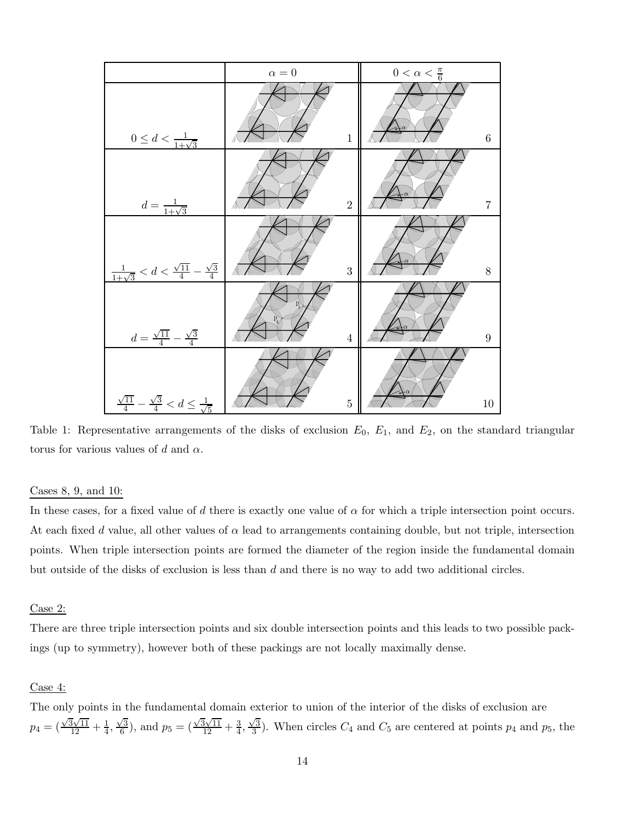

Table 1: Representative arrangements of the disks of exclusion  $E_0$ ,  $E_1$ , and  $E_2$ , on the standard triangular torus for various values of d and  $\alpha$ .

#### Cases 8, 9, and 10:

In these cases, for a fixed value of d there is exactly one value of  $\alpha$  for which a triple intersection point occurs. At each fixed d value, all other values of  $\alpha$  lead to arrangements containing double, but not triple, intersection points. When triple intersection points are formed the diameter of the region inside the fundamental domain but outside of the disks of exclusion is less than  $d$  and there is no way to add two additional circles.

#### Case 2:

There are three triple intersection points and six double intersection points and this leads to two possible packings (up to symmetry), however both of these packings are not locally maximally dense.

#### Case 4:

The only points in the fundamental domain exterior to union of the interior of the disks of exclusion are  $p_4 = \left(\frac{\sqrt{3}\sqrt{11}}{12} + \frac{1}{4}\right)$  $\frac{1}{4}, \frac{\sqrt{3}}{6}$  $\frac{\sqrt{3}}{6}$ ), and  $p_5 = (\frac{\sqrt{3}\sqrt{11}}{12} + \frac{3}{4})$  $\frac{3}{4}, \frac{\sqrt{3}}{3}$  $\frac{\sqrt{3}}{3}$ ). When circles  $C_4$  and  $C_5$  are centered at points  $p_4$  and  $p_5$ , the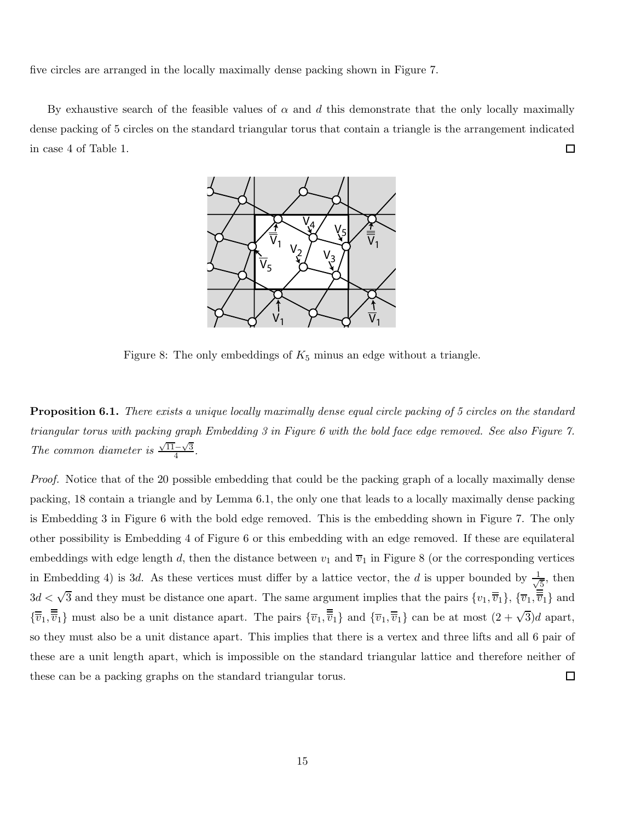five circles are arranged in the locally maximally dense packing shown in Figure 7.

By exhaustive search of the feasible values of  $\alpha$  and d this demonstrate that the only locally maximally dense packing of 5 circles on the standard triangular torus that contain a triangle is the arrangement indicated  $\Box$ in case 4 of Table 1.



Figure 8: The only embeddings of  $K_5$  minus an edge without a triangle.

**Proposition 6.1.** There exists a unique locally maximally dense equal circle packing of 5 circles on the standard triangular torus with packing graph Embedding 3 in Figure 6 with the bold face edge removed. See also Figure 7. The common diameter is  $\frac{\sqrt{11}-\sqrt{3}}{4}$  $\frac{-\sqrt{3}}{4}$ .

Proof. Notice that of the 20 possible embedding that could be the packing graph of a locally maximally dense packing, 18 contain a triangle and by Lemma 6.1, the only one that leads to a locally maximally dense packing is Embedding 3 in Figure 6 with the bold edge removed. This is the embedding shown in Figure 7. The only other possibility is Embedding 4 of Figure 6 or this embedding with an edge removed. If these are equilateral embeddings with edge length d, then the distance between  $v_1$  and  $\overline{v}_1$  in Figure 8 (or the corresponding vertices in Embedding 4) is 3d. As these vertices must differ by a lattice vector, the d is upper bounded by  $\frac{1}{\sqrt{2}}$  $\frac{1}{5}$ , then  $3d < \sqrt{3}$  and they must be distance one apart. The same argument implies that the pairs  $\{v_1, \overline{\overline{v}}_1\}$ ,  $\{\overline{v}_1, \overline{\overline{\overline{v}}_1}\}$  and  ${\{\overline{v}_1,\overline{\overline{v}}_1\}}$  must also be a unit distance apart. The pairs  ${\{\overline{v}_1,\overline{\overline{v}}_1\}}$  and  ${\{\overline{v}_1,\overline{\overline{v}}_1\}}$  can be at most  $(2+\sqrt{3})d$  apart, so they must also be a unit distance apart. This implies that there is a vertex and three lifts and all 6 pair of these are a unit length apart, which is impossible on the standard triangular lattice and therefore neither of these can be a packing graphs on the standard triangular torus.  $\Box$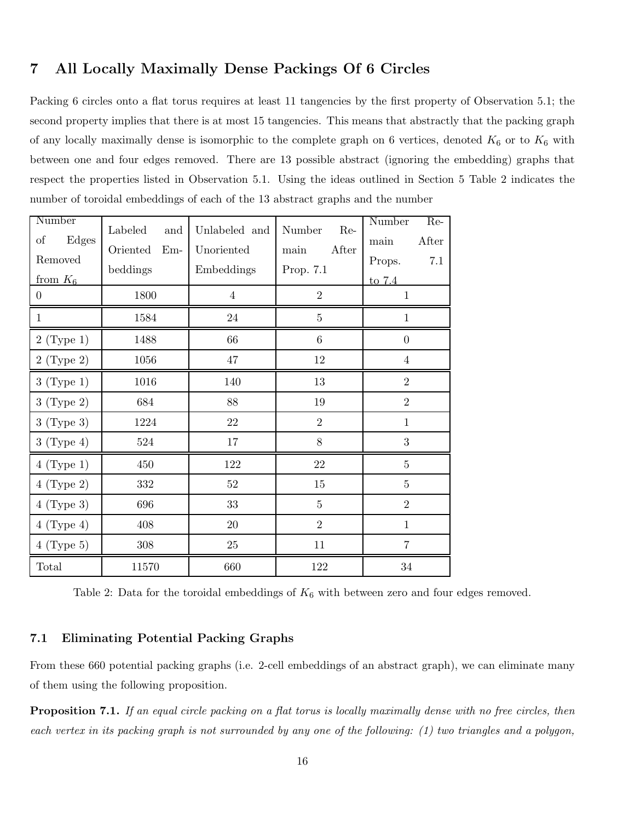## 7 All Locally Maximally Dense Packings Of 6 Circles

Packing 6 circles onto a flat torus requires at least 11 tangencies by the first property of Observation 5.1; the second property implies that there is at most 15 tangencies. This means that abstractly that the packing graph of any locally maximally dense is isomorphic to the complete graph on 6 vertices, denoted  $K_6$  or to  $K_6$  with between one and four edges removed. There are 13 possible abstract (ignoring the embedding) graphs that respect the properties listed in Observation 5.1. Using the ideas outlined in Section 5 Table 2 indicates the number of toroidal embeddings of each of the 13 abstract graphs and the number

| Number            | Labeled<br>and    | Unlabeled and  | Number<br>Re-   | Number<br>Re-  |
|-------------------|-------------------|----------------|-----------------|----------------|
| Edges<br>$\sigma$ | $Em-$<br>Oriented | Unoriented     | After<br>main   | After<br>main  |
| Removed           | beddings          | Embeddings     | Prop. 7.1       | 7.1<br>Props.  |
| from $K_6$        |                   |                |                 | to 7.4         |
| $\overline{0}$    | 1800              | $\overline{4}$ | $\overline{2}$  | $\mathbf{1}$   |
| $\mathbf{1}$      | 1584              | 24             | $\overline{5}$  | $\mathbf{1}$   |
| $2$ (Type 1)      | 1488              | 66             | $6\phantom{.}6$ | $\overline{0}$ |
| $2$ (Type 2)      | 1056              | $47\,$         | 12              | $\overline{4}$ |
| $3$ (Type 1)      | 1016              | 140            | $13\,$          | $\overline{2}$ |
| 3 (Type 2)        | 684               | 88             | 19              | $\overline{2}$ |
| $3$ (Type 3)      | 1224              | 22             | $\overline{2}$  | $\mathbf{1}$   |
| $3$ (Type 4)      | 524               | 17             | 8               | 3              |
| $4$ (Type 1)      | 450               | 122            | $22\,$          | $\overline{5}$ |
| $4$ (Type 2)      | 332               | $52\,$         | $15\,$          | $\overline{5}$ |
| $4$ (Type 3)      | 696               | 33             | $\overline{5}$  | $\overline{2}$ |
| $4$ (Type 4)      | 408               | $20\,$         | $\overline{2}$  | $\mathbf{1}$   |
| $4$ (Type 5)      | 308               | 25             | 11              | $\overline{7}$ |
| Total             | 11570             | 660            | 122             | 34             |

Table 2: Data for the toroidal embeddings of  $K_6$  with between zero and four edges removed.

## 7.1 Eliminating Potential Packing Graphs

From these 660 potential packing graphs (i.e. 2-cell embeddings of an abstract graph), we can eliminate many of them using the following proposition.

**Proposition 7.1.** If an equal circle packing on a flat torus is locally maximally dense with no free circles, then each vertex in its packing graph is not surrounded by any one of the following: (1) two triangles and a polygon,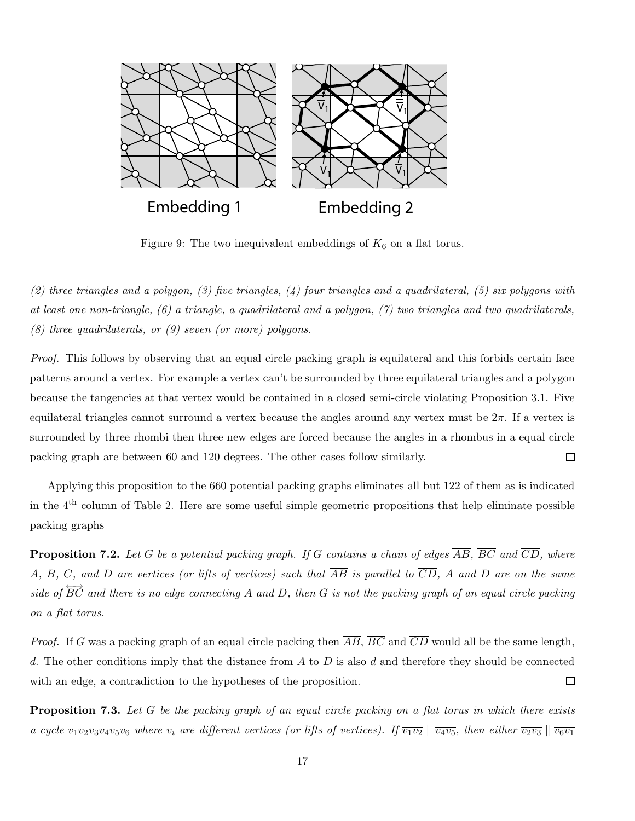

Figure 9: The two inequivalent embeddings of  $K_6$  on a flat torus.

 $(2)$  three triangles and a polygon,  $(3)$  five triangles,  $(4)$  four triangles and a quadrilateral,  $(5)$  six polygons with at least one non-triangle, (6) a triangle, a quadrilateral and a polygon, (7) two triangles and two quadrilaterals, (8) three quadrilaterals, or (9) seven (or more) polygons.

Proof. This follows by observing that an equal circle packing graph is equilateral and this forbids certain face patterns around a vertex. For example a vertex can't be surrounded by three equilateral triangles and a polygon because the tangencies at that vertex would be contained in a closed semi-circle violating Proposition 3.1. Five equilateral triangles cannot surround a vertex because the angles around any vertex must be  $2\pi$ . If a vertex is surrounded by three rhombi then three new edges are forced because the angles in a rhombus in a equal circle packing graph are between 60 and 120 degrees. The other cases follow similarly.  $\Box$ 

Applying this proposition to the 660 potential packing graphs eliminates all but 122 of them as is indicated in the 4th column of Table 2. Here are some useful simple geometric propositions that help eliminate possible packing graphs

**Proposition 7.2.** Let G be a potential packing graph. If G contains a chain of edges  $\overline{AB}$ ,  $\overline{BC}$  and  $\overline{CD}$ , where A, B, C, and D are vertices (or lifts of vertices) such that  $\overline{AB}$  is parallel to  $\overline{CD}$ , A and D are on the same side of  $\overleftrightarrow{BC}$  and there is no edge connecting A and D, then G is not the packing graph of an equal circle packing on a flat torus.

*Proof.* If G was a packing graph of an equal circle packing then  $\overline{AB}$ ,  $\overline{BC}$  and  $\overline{CD}$  would all be the same length, d. The other conditions imply that the distance from  $A$  to  $D$  is also  $d$  and therefore they should be connected with an edge, a contradiction to the hypotheses of the proposition.  $\Box$ 

**Proposition 7.3.** Let G be the packing graph of an equal circle packing on a flat torus in which there exists a cycle  $v_1v_2v_3v_4v_5v_6$  where  $v_i$  are different vertices (or lifts of vertices). If  $\overline{v_1v_2} \parallel \overline{v_4v_5}$ , then either  $\overline{v_2v_3} \parallel \overline{v_6v_1}$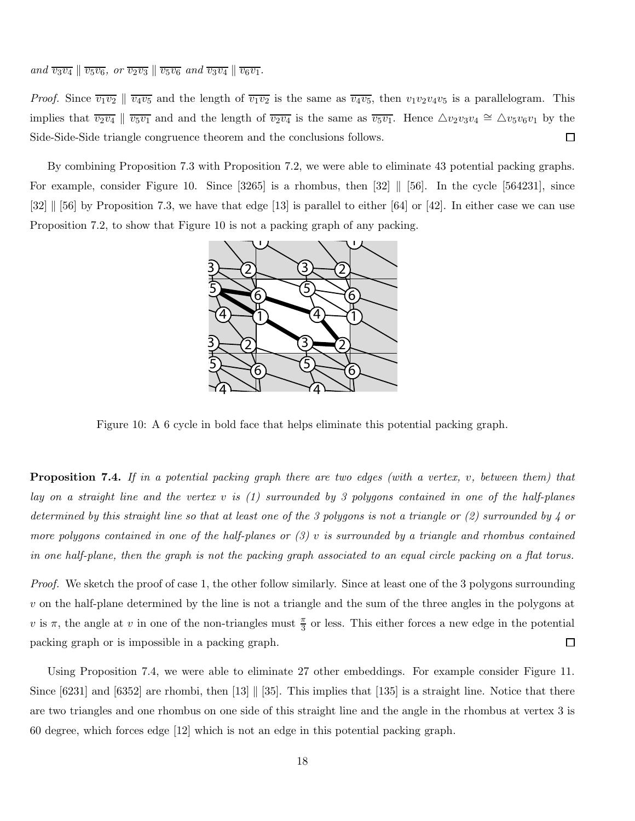*Proof.* Since  $\overline{v_1v_2} \parallel \overline{v_4v_5}$  and the length of  $\overline{v_1v_2}$  is the same as  $\overline{v_4v_5}$ , then  $v_1v_2v_4v_5$  is a parallelogram. This implies that  $\overline{v_2v_4} \parallel \overline{v_5v_1}$  and and the length of  $\overline{v_2v_4}$  is the same as  $\overline{v_5v_1}$ . Hence  $\triangle v_2v_3v_4 \cong \triangle v_5v_6v_1$  by the  $\Box$ Side-Side-Side triangle congruence theorem and the conclusions follows.

By combining Proposition 7.3 with Proposition 7.2, we were able to eliminate 43 potential packing graphs. For example, consider Figure 10. Since  $[3265]$  is a rhombus, then  $[32]$  ||  $[56]$ . In the cycle  $[564231]$ , since [32]  $\parallel$  [56] by Proposition 7.3, we have that edge [13] is parallel to either [64] or [42]. In either case we can use Proposition 7.2, to show that Figure 10 is not a packing graph of any packing.



Figure 10: A 6 cycle in bold face that helps eliminate this potential packing graph.

**Proposition 7.4.** If in a potential packing graph there are two edges (with a vertex, v, between them) that lay on a straight line and the vertex v is (1) surrounded by 3 polygons contained in one of the half-planes determined by this straight line so that at least one of the 3 polygons is not a triangle or (2) surrounded by 4 or more polygons contained in one of the half-planes or  $(3)$  v is surrounded by a triangle and rhombus contained in one half-plane, then the graph is not the packing graph associated to an equal circle packing on a flat torus.

Proof. We sketch the proof of case 1, the other follow similarly. Since at least one of the 3 polygons surrounding v on the half-plane determined by the line is not a triangle and the sum of the three angles in the polygons at v is  $\pi$ , the angle at v in one of the non-triangles must  $\frac{\pi}{3}$  or less. This either forces a new edge in the potential packing graph or is impossible in a packing graph.  $\Box$ 

Using Proposition 7.4, we were able to eliminate 27 other embeddings. For example consider Figure 11. Since  $[6231]$  and  $[6352]$  are rhombi, then  $[13]$   $[35]$ . This implies that  $[135]$  is a straight line. Notice that there are two triangles and one rhombus on one side of this straight line and the angle in the rhombus at vertex 3 is 60 degree, which forces edge [12] which is not an edge in this potential packing graph.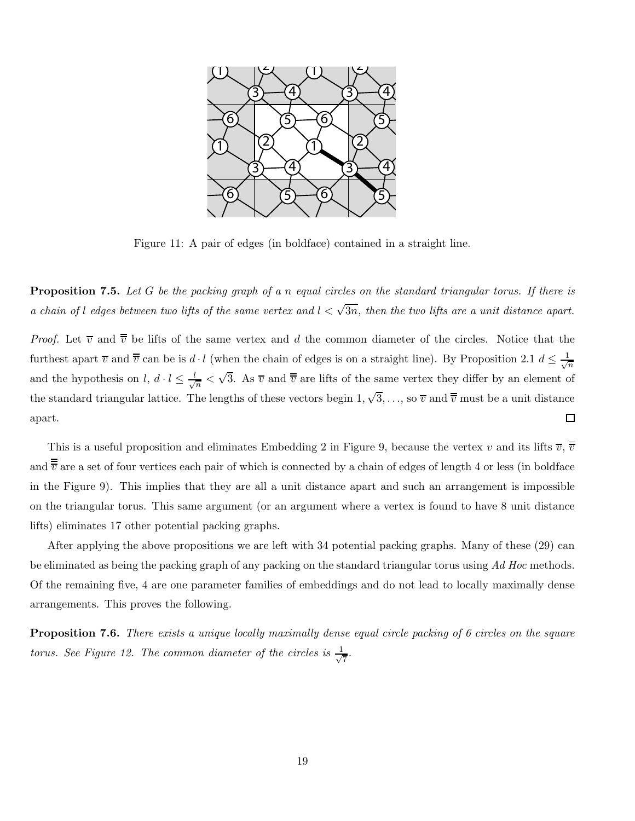

Figure 11: A pair of edges (in boldface) contained in a straight line.

**Proposition 7.5.** Let G be the packing graph of a n equal circles on the standard triangular torus. If there is a chain of l edges between two lifts of the same vertex and  $l < \sqrt{3n}$ , then the two lifts are a unit distance apart.

*Proof.* Let  $\overline{v}$  and  $\overline{\overline{v}}$  be lifts of the same vertex and d the common diameter of the circles. Notice that the furthest apart  $\overline{v}$  and  $\overline{\overline{v}}$  can be is  $d \cdot l$  (when the chain of edges is on a straight line). By Proposition 2.1  $d \leq \frac{1}{\sqrt{2}}$ n  $\frac{1}{n} < \sqrt{3}$ . As  $\overline{v}$  and  $\overline{\overline{v}}$  are lifts of the same vertex they differ by an element of and the hypothesis on  $l, d \cdot l \leq \frac{l}{\sqrt{l}}$ the standard triangular lattice. The lengths of these vectors begin  $1, \sqrt{3}, \ldots$ , so  $\overline{v}$  and  $\overline{\overline{v}}$  must be a unit distance  $\Box$ apart.

This is a useful proposition and eliminates Embedding 2 in Figure 9, because the vertex v and its lifts  $\overline{v}$ ,  $\overline{\overline{v}}$ and  $\overline{\overline{v}}$  are a set of four vertices each pair of which is connected by a chain of edges of length 4 or less (in boldface in the Figure 9). This implies that they are all a unit distance apart and such an arrangement is impossible on the triangular torus. This same argument (or an argument where a vertex is found to have 8 unit distance lifts) eliminates 17 other potential packing graphs.

After applying the above propositions we are left with 34 potential packing graphs. Many of these (29) can be eliminated as being the packing graph of any packing on the standard triangular torus using Ad Hoc methods. Of the remaining five, 4 are one parameter families of embeddings and do not lead to locally maximally dense arrangements. This proves the following.

**Proposition 7.6.** There exists a unique locally maximally dense equal circle packing of 6 circles on the square torus. See Figure 12. The common diameter of the circles is  $\frac{1}{\sqrt{2}}$  $\overline{7}$ .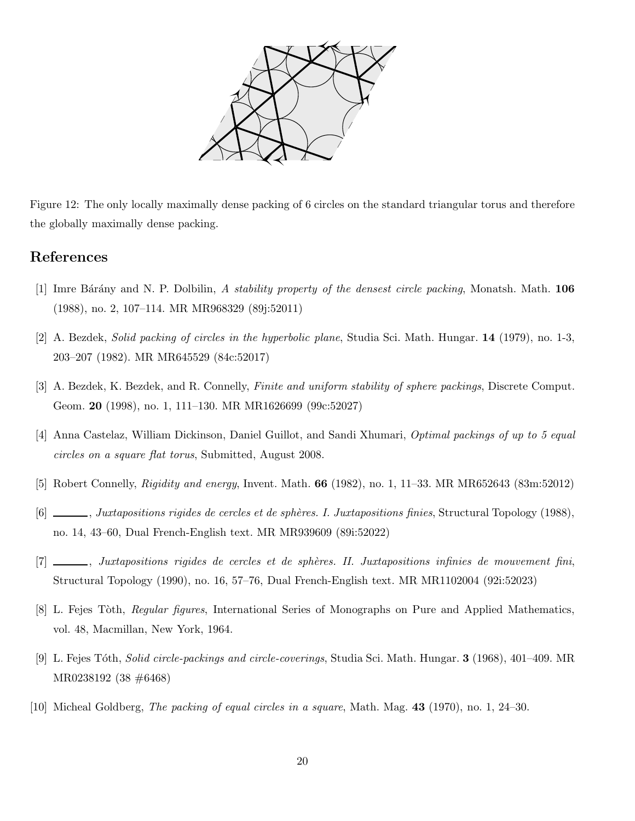

Figure 12: The only locally maximally dense packing of 6 circles on the standard triangular torus and therefore the globally maximally dense packing.

## References

- [1] Imre Bárány and N. P. Dolbilin, A stability property of the densest circle packing, Monatsh. Math. 106 (1988), no. 2, 107–114. MR MR968329 (89j:52011)
- [2] A. Bezdek, Solid packing of circles in the hyperbolic plane, Studia Sci. Math. Hungar. 14 (1979), no. 1-3, 203–207 (1982). MR MR645529 (84c:52017)
- [3] A. Bezdek, K. Bezdek, and R. Connelly, Finite and uniform stability of sphere packings, Discrete Comput. Geom. 20 (1998), no. 1, 111–130. MR MR1626699 (99c:52027)
- [4] Anna Castelaz, William Dickinson, Daniel Guillot, and Sandi Xhumari, Optimal packings of up to 5 equal circles on a square flat torus, Submitted, August 2008.
- [5] Robert Connelly, Rigidity and energy, Invent. Math. 66 (1982), no. 1, 11–33. MR MR652643 (83m:52012)
- [6]  $\_\_\_\_\_\$ general Topology (1988),  $\_\_\_\_\_\_\$  Juxtapositions finies, Structural Topology (1988), no. 14, 43–60, Dual French-English text. MR MR939609 (89i:52022)
- [7] , Juxtapositions rigides de cercles et de sph`eres. II. Juxtapositions infinies de mouvement fini, Structural Topology (1990), no. 16, 57–76, Dual French-English text. MR MR1102004 (92i:52023)
- [8] L. Fejes Tòth, *Regular figures*, International Series of Monographs on Pure and Applied Mathematics, vol. 48, Macmillan, New York, 1964.
- [9] L. Fejes T´oth, Solid circle-packings and circle-coverings, Studia Sci. Math. Hungar. 3 (1968), 401–409. MR MR0238192 (38 #6468)
- [10] Micheal Goldberg, The packing of equal circles in a square, Math. Mag. 43 (1970), no. 1, 24–30.